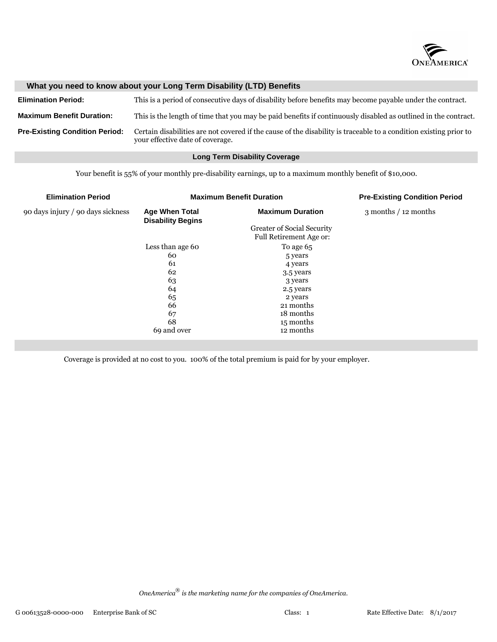

#### **What you need to know about your Long Term Disability (LTD) Benefits**

| <b>Elimination Period:</b>            | This is a period of consecutive days of disability before benefits may become payable under the contract.                                             |
|---------------------------------------|-------------------------------------------------------------------------------------------------------------------------------------------------------|
| <b>Maximum Benefit Duration:</b>      | This is the length of time that you may be paid benefits if continuously disabled as outlined in the contract.                                        |
| <b>Pre-Existing Condition Period:</b> | Certain disabilities are not covered if the cause of the disability is traceable to a condition existing prior to<br>your effective date of coverage. |

#### **Long Term Disability Coverage**

Your benefit is 55% of your monthly pre-disability earnings, up to a maximum monthly benefit of \$10,000.

| <b>Elimination Period</b>         | <b>Maximum Benefit Duration</b>                   |                                                       | <b>Pre-Existing Condition Period</b> |
|-----------------------------------|---------------------------------------------------|-------------------------------------------------------|--------------------------------------|
| 90 days injury / 90 days sickness | <b>Age When Total</b><br><b>Disability Begins</b> | <b>Maximum Duration</b>                               | $3$ months $/12$ months              |
|                                   |                                                   | Greater of Social Security<br>Full Retirement Age or: |                                      |
|                                   | Less than age 60                                  | To age 65                                             |                                      |
|                                   | 60                                                | 5 years                                               |                                      |
|                                   | 61                                                | 4 years                                               |                                      |
|                                   | 62                                                | 3.5 years                                             |                                      |
|                                   | 63                                                | 3 years                                               |                                      |
|                                   | 64                                                | 2.5 years                                             |                                      |
|                                   | 65                                                | 2 years                                               |                                      |
|                                   | 66                                                | 21 months                                             |                                      |
|                                   | 67                                                | 18 months                                             |                                      |
|                                   | 68                                                | 15 months                                             |                                      |
|                                   | 69 and over                                       | 12 months                                             |                                      |

Coverage is provided at no cost to you. 100% of the total premium is paid for by your employer.

® *OneAmerica is the marketing name for the companies of OneAmerica.*